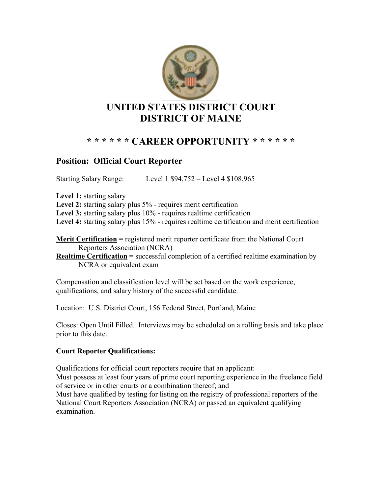

# **\* \* \* \* \* \* CAREER OPPORTUNITY \* \* \* \* \* \***

## **Position: Official Court Reporter**

Starting Salary Range: Level 1 \$94,752 – Level 4 \$108,965

**Level 1:** starting salary

Level 2: starting salary plus 5% - requires merit certification

Level 3: starting salary plus 10% - requires realtime certification

Level 4: starting salary plus 15% - requires realtime certification and merit certification

**Merit Certification** = registered merit reporter certificate from the National Court Reporters Association (NCRA)

**Realtime Certification** = successful completion of a certified realtime examination by NCRA or equivalent exam

Compensation and classification level will be set based on the work experience, qualifications, and salary history of the successful candidate.

Location: U.S. District Court, 156 Federal Street, Portland, Maine

Closes: Open Until Filled. Interviews may be scheduled on a rolling basis and take place prior to this date.

#### **Court Reporter Qualifications:**

Qualifications for official court reporters require that an applicant: Must possess at least four years of prime court reporting experience in the freelance field of service or in other courts or a combination thereof; and Must have qualified by testing for listing on the registry of professional reporters of the National Court Reporters Association (NCRA) or passed an equivalent qualifying examination.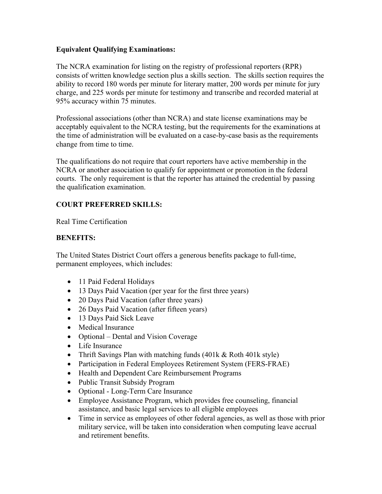#### **Equivalent Qualifying Examinations:**

The NCRA examination for listing on the registry of professional reporters (RPR) consists of written knowledge section plus a skills section. The skills section requires the ability to record 180 words per minute for literary matter, 200 words per minute for jury charge, and 225 words per minute for testimony and transcribe and recorded material at 95% accuracy within 75 minutes.

Professional associations (other than NCRA) and state license examinations may be acceptably equivalent to the NCRA testing, but the requirements for the examinations at the time of administration will be evaluated on a case-by-case basis as the requirements change from time to time.

The qualifications do not require that court reporters have active membership in the NCRA or another association to qualify for appointment or promotion in the federal courts. The only requirement is that the reporter has attained the credential by passing the qualification examination.

### **COURT PREFERRED SKILLS:**

Real Time Certification

### **BENEFITS:**

The United States District Court offers a generous benefits package to full-time, permanent employees, which includes:

- 11 Paid Federal Holidays
- 13 Days Paid Vacation (per year for the first three years)
- 20 Days Paid Vacation (after three years)
- 26 Days Paid Vacation (after fifteen years)
- 13 Days Paid Sick Leave
- Medical Insurance
- Optional Dental and Vision Coverage
- Life Insurance
- Thrift Savings Plan with matching funds (401k & Roth 401k style)
- Participation in Federal Employees Retirement System (FERS-FRAE)
- Health and Dependent Care Reimbursement Programs
- Public Transit Subsidy Program
- Optional Long-Term Care Insurance
- Employee Assistance Program, which provides free counseling, financial assistance, and basic legal services to all eligible employees
- Time in service as employees of other federal agencies, as well as those with prior military service, will be taken into consideration when computing leave accrual and retirement benefits.